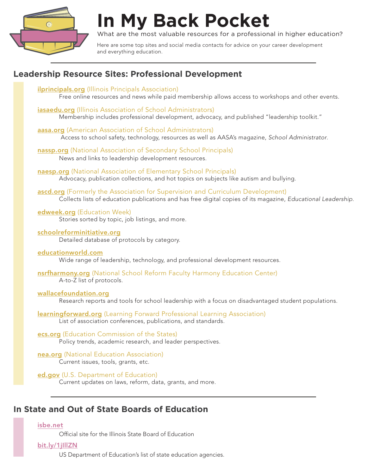

# **In My Back Pocket**

What are the most valuable resources for a professional in higher education?

Here are some top sites and social media contacts for advice on your career development and everything education.

# **Leadership Resource Sites: Professional Development**

**[ilprincipals.org](https://ilprincipals.org/)** (Illinois Principals Association) Free online resources and news while paid membership allows access to workshops and other events. [iasaedu.org](https://www.iasaedu.org/) (Illinois Association of School Administrators) Membership includes professional development, advocacy, and published "leadership toolkit." [aasa.org](http://www.aasa.org/) (American Association of School Administrators) Access to school safety, technology, resources as well as AASA's magazine, *School Administrator*. [nassp.org](https://www.nassp.org/?SSO=true) (National Association of Secondary School Principals) News and links to leadership development resources. [naesp.org](https://www.naesp.org/) (National Association of Elementary School Principals) Advocacy, publication collections, and hot topics on subjects like autism and bullying. [ascd.org](http://www.ascd.org/Default.aspx) (Formerly the Association for Supervision and Curriculum Development) Collects lists of education publications and has free digital copies of its magazine, *Educational Leadership*. [edweek.org](http://www.edweek.org/ew/index.html) (Education Week) Stories sorted by topic, job listings, and more. [schoolreforminitiative.org](http://www.schoolreforminitiative.org/) Detailed database of protocols by category. [educationworld.com](http://www.educationworld.com/) Wide range of leadership, technology, and professional development resources. [nsrfharmony.org](https://www.nsrfharmony.org/) (National School Reform Faculty Harmony Education Center) A-to-Z list of protocols. [wallacefoundation.org](http://wallacefoundation.org/pages/default.aspx) Research reports and tools for school leadership with a focus on disadvantaged student populations. **[learningforward.org](https://learningforward.org/)** (Learning Forward Professional Learning Association) List of association conferences, publications, and standards. [ecs.org](https://www.ecs.org/) (Education Commission of the States) Policy trends, academic research, and leader perspectives. [nea.org](http://www.nea.org/) (National Education Association) Current issues, tools, grants, etc. [ed.gov](https://www.ed.gov/) (U.S. Department of Education) Current updates on laws, reform, data, grants, and more.

# **In State and Out of State Boards of Education**

## [isbe.net](https://www.isbe.net/)

Official site for the Illinois State Board of Education

## [bit.ly/1jIllZN](https://www2.ed.gov/about/contacts/state/index.html?category_id=sea)

US Department of Education's list of state education agencies.